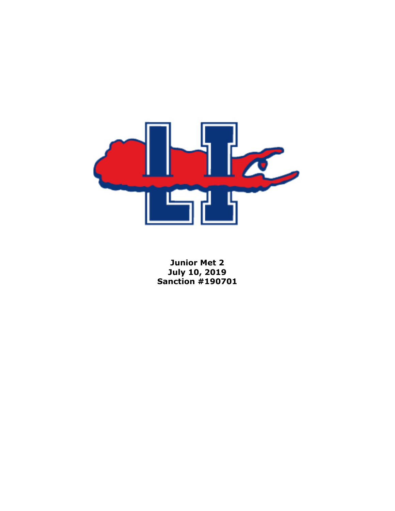

**Junior Met 2 July 10, 2019 Sanction #190701**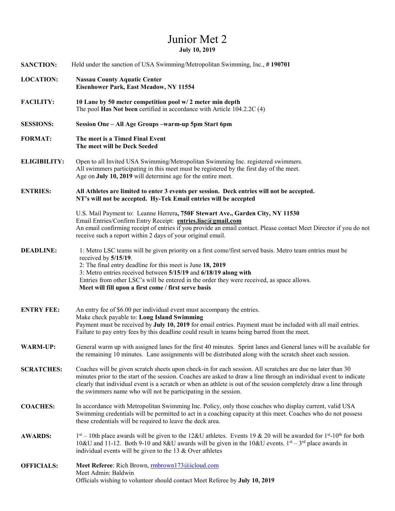## Junior Met 2 **July 10, 2019**

| <b>SANCTION:</b>    | Held under the sanction of USA Swimming/Metropolitan Swimming, Inc., #190701                                                                                                                                                                                                                                                                                                                                                |  |  |
|---------------------|-----------------------------------------------------------------------------------------------------------------------------------------------------------------------------------------------------------------------------------------------------------------------------------------------------------------------------------------------------------------------------------------------------------------------------|--|--|
| <b>LOCATION:</b>    | <b>Nassau County Aquatic Center</b><br><b>Eisenhower Park, East Meadow, NY 11554</b>                                                                                                                                                                                                                                                                                                                                        |  |  |
| <b>FACILITY:</b>    | 10 Lane by 50 meter competition pool w/2 meter min depth<br>The pool Has Not been certified in accordance with Article 104.2.2C (4)                                                                                                                                                                                                                                                                                         |  |  |
| <b>SESSIONS:</b>    | Session One - All Age Groups -warm-up 5pm Start 6pm                                                                                                                                                                                                                                                                                                                                                                         |  |  |
| <b>FORMAT:</b>      | The meet is a Timed Final Event<br>The meet will be Deck Seeded                                                                                                                                                                                                                                                                                                                                                             |  |  |
| <b>ELIGIBILITY:</b> | Open to all Invited USA Swimming/Metropolitan Swimming Inc. registered swimmers.<br>All swimmers participating in this meet must be registered by the first day of the meet.<br>Age on July 10, 2019 will determine age for the entire meet.                                                                                                                                                                                |  |  |
| <b>ENTRIES:</b>     | All Athletes are limited to enter 3 events per session. Deck entries will not be accepted.<br>NT's will not be accepted. Hy-Tek Email entries will be accepted                                                                                                                                                                                                                                                              |  |  |
|                     | U.S. Mail Payment to: Leanne Herrera, 750F Stewart Ave., Garden City, NY 11530<br>Email Entries/Confirm Entry Receipt: entries.liac@gmail.com<br>An email confirming receipt of entries if you provide an email contact. Please contact Meet Director if you do not<br>receive such a report within 2 days of your original email.                                                                                          |  |  |
| <b>DEADLINE:</b>    | 1: Metro LSC teams will be given priority on a first come/first served basis. Metro team entries must be<br>received by 5/15/19.<br>2: The final entry deadline for this meet is June 18, 2019<br>3: Metro entries received between 5/15/19 and 6/18/19 along with<br>Entries from other LSC's will be entered in the order they were received, as space allows.<br>Meet will fill upon a first come / first serve basis    |  |  |
| <b>ENTRY FEE:</b>   | An entry fee of \$6.00 per individual event must accompany the entries.<br>Make check payable to: Long Island Swimming<br>Payment must be received by July 10, 2019 for email entries. Payment must be included with all mail entries.<br>Failure to pay entry fees by this deadline could result in teams being barred from the meet.                                                                                      |  |  |
| <b>WARM-UP:</b>     | General warm up with assigned lanes for the first 40 minutes. Sprint lanes and General lanes will be available for<br>the remaining 10 minutes. Lane assignments will be distributed along with the scratch sheet each session.                                                                                                                                                                                             |  |  |
| <b>SCRATCHES:</b>   | Coaches will be given scratch sheets upon check-in for each session. All scratches are due no later than 30<br>minutes prior to the start of the session. Coaches are asked to draw a line through an individual event to indicate<br>clearly that individual event is a scratch or when an athlete is out of the session completely draw a line through<br>the swimmers name who will not be participating in the session. |  |  |
| <b>COACHES:</b>     | In accordance with Metropolitan Swimming Inc. Policy, only those coaches who display current, valid USA<br>Swimming credentials will be permitted to act in a coaching capacity at this meet. Coaches who do not possess<br>these credentials will be required to leave the deck area.                                                                                                                                      |  |  |
| <b>AWARDS:</b>      | $1st - 10th$ place awards will be given to the 12&U athletes. Events 19 & 20 will be awarded for $1st - 10th$ for both<br>10&U and 11-12. Both 9-10 and 8&U awards will be given in the 10&U events. 1 <sup>st</sup> – 3 <sup>rd</sup> place awards in<br>individual events will be given to the 13 $&$ Over athletes                                                                                                       |  |  |
| <b>OFFICIALS:</b>   | Meet Referee: Rich Brown, mbrown173@icloud.com<br>Meet Admin: Baldwin<br>Officials wishing to volunteer should contact Meet Referee by July 10, 2019                                                                                                                                                                                                                                                                        |  |  |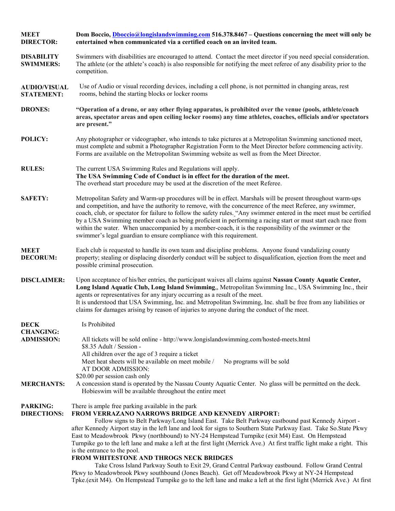| <b>MEET</b><br><b>DIRECTOR:</b>          | Dom Boccio, <i>Dboccio@longislandswimming.com</i> 516.378.8467 – Questions concerning the meet will only be<br>entertained when communicated via a certified coach on an invited team.                                                                                                                                                                                                                                                                                                                                                                                                                                                                                                                                                                                                                                                                                                                                                                                    |  |  |
|------------------------------------------|---------------------------------------------------------------------------------------------------------------------------------------------------------------------------------------------------------------------------------------------------------------------------------------------------------------------------------------------------------------------------------------------------------------------------------------------------------------------------------------------------------------------------------------------------------------------------------------------------------------------------------------------------------------------------------------------------------------------------------------------------------------------------------------------------------------------------------------------------------------------------------------------------------------------------------------------------------------------------|--|--|
| <b>DISABILITY</b><br><b>SWIMMERS:</b>    | Swimmers with disabilities are encouraged to attend. Contact the meet director if you need special consideration.<br>The athlete (or the athlete's coach) is also responsible for notifying the meet referee of any disability prior to the<br>competition.                                                                                                                                                                                                                                                                                                                                                                                                                                                                                                                                                                                                                                                                                                               |  |  |
| <b>AUDIO/VISUAL</b><br><b>STATEMENT:</b> | Use of Audio or visual recording devices, including a cell phone, is not permitted in changing areas, rest<br>rooms, behind the starting blocks or locker rooms                                                                                                                                                                                                                                                                                                                                                                                                                                                                                                                                                                                                                                                                                                                                                                                                           |  |  |
| <b>DRONES:</b>                           | "Operation of a drone, or any other flying apparatus, is prohibited over the venue (pools, athlete/coach<br>areas, spectator areas and open ceiling locker rooms) any time athletes, coaches, officials and/or spectators<br>are present."                                                                                                                                                                                                                                                                                                                                                                                                                                                                                                                                                                                                                                                                                                                                |  |  |
| POLICY:                                  | Any photographer or videographer, who intends to take pictures at a Metropolitan Swimming sanctioned meet,<br>must complete and submit a Photographer Registration Form to the Meet Director before commencing activity.<br>Forms are available on the Metropolitan Swimming website as well as from the Meet Director.                                                                                                                                                                                                                                                                                                                                                                                                                                                                                                                                                                                                                                                   |  |  |
| <b>RULES:</b>                            | The current USA Swimming Rules and Regulations will apply.<br>The USA Swimming Code of Conduct is in effect for the duration of the meet.<br>The overhead start procedure may be used at the discretion of the meet Referee.                                                                                                                                                                                                                                                                                                                                                                                                                                                                                                                                                                                                                                                                                                                                              |  |  |
| <b>SAFETY:</b>                           | Metropolitan Safety and Warm-up procedures will be in effect. Marshals will be present throughout warm-ups<br>and competition, and have the authority to remove, with the concurrence of the meet Referee, any swimmer,<br>coach, club, or spectator for failure to follow the safety rules. "Any swimmer entered in the meet must be certified<br>by a USA Swimming member coach as being proficient in performing a racing start or must start each race from<br>within the water. When unaccompanied by a member-coach, it is the responsibility of the swimmer or the<br>swimmer's legal guardian to ensure compliance with this requirement.                                                                                                                                                                                                                                                                                                                         |  |  |
| <b>MEET</b><br><b>DECORUM:</b>           | Each club is requested to handle its own team and discipline problems. Anyone found vandalizing county<br>property; stealing or displacing disorderly conduct will be subject to disqualification, ejection from the meet and<br>possible criminal prosecution.                                                                                                                                                                                                                                                                                                                                                                                                                                                                                                                                                                                                                                                                                                           |  |  |
| <b>DISCLAIMER:</b>                       | Upon acceptance of his/her entries, the participant waives all claims against Nassau County Aquatic Center,<br>Long Island Aquatic Club, Long Island Swimming,, Metropolitan Swimming Inc., USA Swimming Inc., their<br>agents or representatives for any injury occurring as a result of the meet.<br>It is understood that USA Swimming, Inc. and Metropolitan Swimming, Inc. shall be free from any liabilities or<br>claims for damages arising by reason of injuries to anyone during the conduct of the meet.                                                                                                                                                                                                                                                                                                                                                                                                                                                       |  |  |
| <b>DECK</b>                              | Is Prohibited                                                                                                                                                                                                                                                                                                                                                                                                                                                                                                                                                                                                                                                                                                                                                                                                                                                                                                                                                             |  |  |
| <b>CHANGING:</b><br><b>ADMISSION:</b>    | All tickets will be sold online - http://www.longislandswimming.com/hosted-meets.html<br>\$8.35 Adult / Session -<br>All children over the age of 3 require a ticket<br>Meet heat sheets will be available on meet mobile /<br>No programs will be sold<br>AT DOOR ADMISSION:                                                                                                                                                                                                                                                                                                                                                                                                                                                                                                                                                                                                                                                                                             |  |  |
| <b>MERCHANTS:</b>                        | \$20.00 per session cash only<br>A concession stand is operated by the Nassau County Aquatic Center. No glass will be permitted on the deck.<br>Hobieswim will be available throughout the entire meet                                                                                                                                                                                                                                                                                                                                                                                                                                                                                                                                                                                                                                                                                                                                                                    |  |  |
| <b>PARKING:</b><br><b>DIRECTIONS:</b>    | There is ample free parking available in the park<br>FROM VERRAZANO NARROWS BRIDGE AND KENNEDY AIRPORT:<br>Follow signs to Belt Parkway/Long Island East. Take Belt Parkway eastbound past Kennedy Airport -<br>after Kennedy Airport stay in the left lane and look for signs to Southern State Parkway East. Take So.State Pkwy<br>East to Meadowbrook Pkwy (northbound) to NY-24 Hempstead Turnpike (exit M4) East. On Hempstead<br>Turnpike go to the left lane and make a left at the first light (Merrick Ave.) At first traffic light make a right. This<br>is the entrance to the pool.<br>FROM WHITESTONE AND THROGS NECK BRIDGES<br>Take Cross Island Parkway South to Exit 29, Grand Central Parkway eastbound. Follow Grand Central<br>Pkwy to Meadowbrook Pkwy southbound (Jones Beach). Get off Meadowbrook Pkwy at NY-24 Hempstead<br>Tpke.(exit M4). On Hempstead Turnpike go to the left lane and make a left at the first light (Merrick Ave.) At first |  |  |